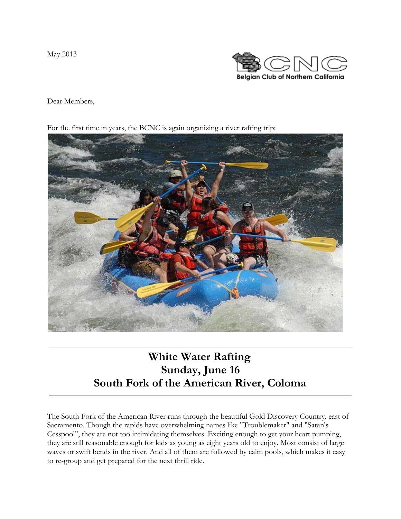May 2013



Dear Members,

For the first time in years, the BCNC is again organizing a river rafting trip:



# **White Water Rafting Sunday, June 16 South Fork of the American River, Coloma**

The South Fork of the American River runs through the beautiful Gold Discovery Country, east of Sacramento. Though the rapids have overwhelming names like "Troublemaker" and "Satan's Cesspool", they are not too intimidating themselves. Exciting enough to get your heart pumping, they are still reasonable enough for kids as young as eight years old to enjoy. Most consist of large waves or swift bends in the river. And all of them are followed by calm pools, which makes it easy to re-group and get prepared for the next thrill ride.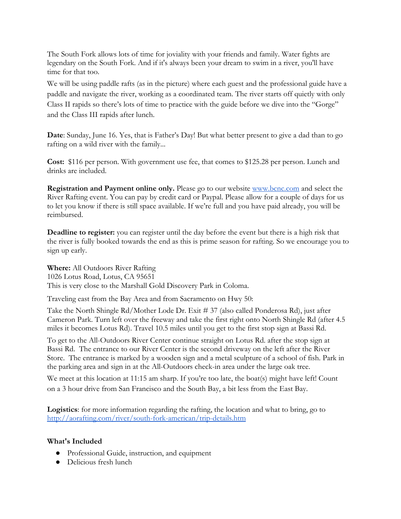The South Fork allows lots of time for joviality with your friends and family. Water fights are legendary on the South Fork. And if it's always been your dream to swim in a river, you'll have time for that too.

We will be using paddle rafts (as in the picture) where each guest and the professional guide have a paddle and navigate the river, working as a coordinated team. The river starts off quietly with only Class II rapids so there's lots of time to practice with the guide before we dive into the "Gorge" and the Class III rapids after lunch.

**Date**: Sunday, June 16. Yes, that is Father's Day! But what better present to give a dad than to go rafting on a wild river with the family...

**Cost:** \$116 per person. With government use fee, that comes to \$125.28 per person. Lunch and drinks are included.

**Registration and Payment online only.** Please go to our website [www.bcnc.com](http://www.google.com/url?q=http%3A%2F%2Fwww.bcnc.com%2F&sa=D&sntz=1&usg=AFQjCNHz6-yDf_a-cSKoewnTBFqZL6HhNA) and select the River Rafting event. You can pay by credit card or Paypal. Please allow for a couple of days for us to let you know if there is still space available. If we're full and you have paid already, you will be reimbursed.

**Deadline to register:** you can register until the day before the event but there is a high risk that the river is fully booked towards the end as this is prime season for rafting. So we encourage you to sign up early.

**Where:** All Outdoors River Rafting 1026 Lotus Road, Lotus, CA 95651 This is very close to the Marshall Gold Discovery Park in Coloma.

Traveling east from the Bay Area and from Sacramento on Hwy 50:

Take the North Shingle Rd/Mother Lode Dr. Exit # 37 (also called Ponderosa Rd), just after Cameron Park. Turn left over the freeway and take the first right onto North Shingle Rd (after 4.5 miles it becomes Lotus Rd). Travel 10.5 miles until you get to the first stop sign at Bassi Rd.

To get to the All-Outdoors River Center continue straight on Lotus Rd. after the stop sign at Bassi Rd. The entrance to our River Center is the second driveway on the left after the River Store. The entrance is marked by a wooden sign and a metal sculpture of a school of fish. Park in the parking area and sign in at the All-Outdoors check-in area under the large oak tree.

We meet at this location at 11:15 am sharp. If you're too late, the boat(s) might have left! Count on a 3 hour drive from San Francisco and the South Bay, a bit less from the East Bay.

**Logistics**: for more information regarding the rafting, the location and what to bring, go to [http://aorafting.com/river/south-fork-american/trip-details.htm](http://www.google.com/url?q=http%3A%2F%2Faorafting.com%2Friver%2Fsouth-fork-american%2Ftrip-details.htm&sa=D&sntz=1&usg=AFQjCNHzKUUQ3tPadAtvI3Kn5aAJDMtfKg)

#### **What's Included**

- Professional Guide, instruction, and equipment
- Delicious fresh lunch